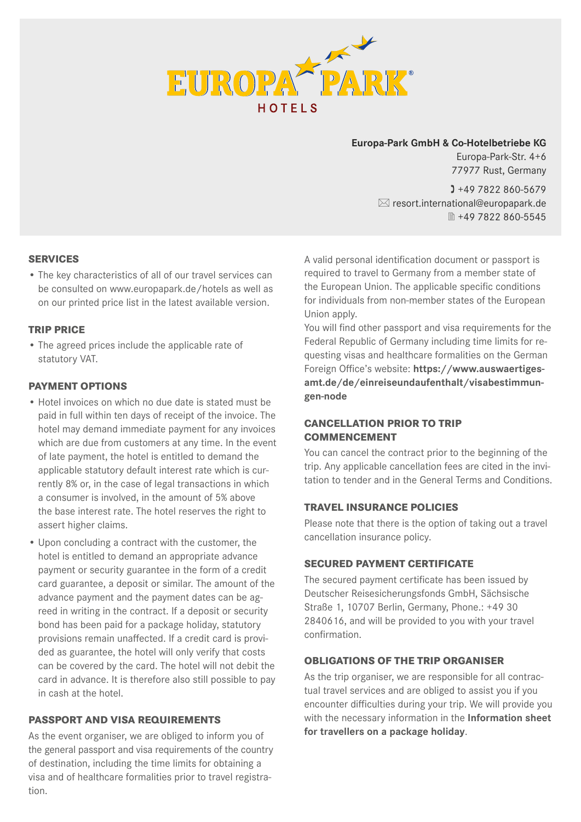

## **Europa-Park GmbH & Co-Hotelbetriebe KG**

Europa-Park-Str. 4+6 77977 Rust, Germany

 $1 + 49 7822 860 - 5679$  $\boxtimes$  resort.international@europapark.de ■ +49 7822 860-5545

## **SERVICES**

• The key characteristics of all of our travel services can be consulted on www.europapark.de/hotels as well as on our printed price list in the latest available version.

#### **TRIP PRICE**

• The agreed prices include the applicable rate of statutory VAT.

#### **PAYMENT OPTIONS**

- Hotel invoices on which no due date is stated must be paid in full within ten days of receipt of the invoice. The hotel may demand immediate payment for any invoices which are due from customers at any time. In the event of late payment, the hotel is entitled to demand the applicable statutory default interest rate which is currently 8% or, in the case of legal transactions in which a consumer is involved, in the amount of 5% above the base interest rate. The hotel reserves the right to assert higher claims.
- Upon concluding a contract with the customer, the hotel is entitled to demand an appropriate advance payment or security guarantee in the form of a credit card guarantee, a deposit or similar. The amount of the advance payment and the payment dates can be agreed in writing in the contract. If a deposit or security bond has been paid for a package holiday, statutory provisions remain unaffected. If a credit card is provided as guarantee, the hotel will only verify that costs can be covered by the card. The hotel will not debit the card in advance. It is therefore also still possible to pay in cash at the hotel.

# **PASSPORT AND VISA REQUIREMENTS**

As the event organiser, we are obliged to inform you of the general passport and visa requirements of the country of destination, including the time limits for obtaining a visa and of healthcare formalities prior to travel registration.

A valid personal identification document or passport is required to travel to Germany from a member state of the European Union. The applicable specific conditions for individuals from non-member states of the European Union apply.

You will find other passport and visa requirements for the Federal Republic of Germany including time limits for requesting visas and healthcare formalities on the German Foreign Office's website: **https://www.auswaertigesamt.de/de/einreiseundaufenthalt/visabestimmungen-node** 

# **CANCELLATION PRIOR TO TRIP COMMENCEMENT**

You can cancel the contract prior to the beginning of the trip. Any applicable cancellation fees are cited in the invitation to tender and in the General Terms and Conditions.

#### **TRAVEL INSURANCE POLICIES**

Please note that there is the option of taking out a travel cancellation insurance policy.

### **SECURED PAYMENT CERTIFICATE**

The secured payment certificate has been issued by Deutscher Reisesicherungsfonds GmbH, Sächsische Straße 1, 10707 Berlin, Germany, Phone.: +49 30 2840616, and will be provided to you with your travel confirmation.

## **OBLIGATIONS OF THE TRIP ORGANISER**

As the trip organiser, we are responsible for all contractual travel services and are obliged to assist you if you encounter difficulties during your trip. We will provide you with the necessary information in the **Information sheet for travellers on a package holiday**.